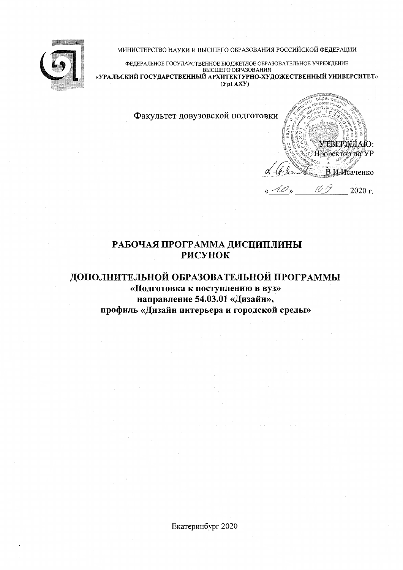



ФЕДЕРАЛЬНОЕ ГОСУДАРСТВЕННОЕ БЮДЖЕТНОЕ ОБРАЗОВАТЕЛЬНОЕ УЧРЕЖДЕНИЕ ВЫСШЕГО ОБРАЗОВАНИЯ «УРАЛЬСКИЙ ГОСУДАРСТВЕННЫЙ АРХИТЕКТУРНО-ХУДОЖЕСТВЕННЫЙ УНИВЕРСИТЕТ»  $(Yp\Gamma A X Y)$ 

hnao

10 %

 $\mathscr{O}_\mathfrak{y}$ 

УТВЕРЖЛАЮ: Проректор по УР

В.И.Исаченко

2020 г.

Факультет довузовской подготовки

## РАБОЧАЯ ПРОГРАММА ДИСЦИПЛИНЫ **РИСУНОК**

# ДОПОЛНИТЕЛЬНОЙ ОБРАЗОВАТЕЛЬНОЙ ПРОГРАММЫ «Подготовка к поступлению в вуз» направление 54.03.01 «Дизайн», профиль «Дизайн интерьера и городской среды»

Екатеринбург 2020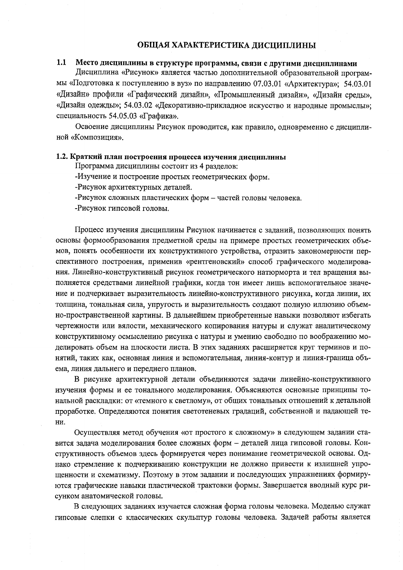#### ОБЩАЯ ХАРАКТЕРИСТИКА ДИСЦИПЛИНЫ

#### Место дисциплины в структуре программы, связи с другими дисциплинами  $1.1$

Дисциплина «Рисунок» является частью дополнительной образовательной программы «Подготовка к поступлению в вуз» по направлению 07.03.01 «Архитектура»; 54.03.01 «Дизайн» профили «Графический дизайн», «Промышленный дизайн», «Дизайн среды», «Дизайн одежды»; 54.03.02 «Декоративно-прикладное искусство и народные промыслы»; специальность 54.05.03 «Графика».

Освоение дисциплины Рисунок проводится, как правило, одновременно с дисциплиной «Композиния».

#### 1.2. Краткий план построения процесса изучения дисциплины

Программа дисциплины состоит из 4 разделов:

-Изучение и построение простых геометрических форм.

-Рисунок архитектурных деталей.

-Рисунок сложных пластических форм - частей головы человека.

-Рисунок гипсовой головы.

Процесс изучения дисциплины Рисунок начинается с заданий, позволяющих понять основы формообразования предметной среды на примере простых геометрических объемов, понять особенности их конструктивного устройства, отразить закономерности перспективного построения, применив «рентгеновский» способ графического моделирования. Линейно-конструктивный рисунок геометрического натюрморта и тел вращения выполняется средствами линейной графики, когда тон имеет лишь вспомогательное значение и подчеркивает выразительность линейно-конструктивного рисунка, когда линии, их толщина, тональная сила, упругость и выразительность создают полную иллюзию объемно-пространственной картины. В дальнейшем приобретенные навыки позволяют избегать чертежности или вялости, механического копирования натуры и служат аналитическому конструктивному осмыслению рисунка с натуры и умению свободно по воображению моделировать объем на плоскости листа. В этих заданиях расширяется круг терминов и понятий, таких как, основная линия и вспомогательная, линия-контур и линия-граница объема, линия дальнего и переднего планов.

В рисунке архитектурной детали объединяются задачи линейно-конструктивного изучения формы и ее тонального моделирования. Объясняются основные принципы тональной раскладки: от «темного к светлому», от общих тональных отношений к детальной проработке. Определяются понятия светотеневых градаций, собственной и падающей те-НИ.

Осуществляя метод обучения «от простого к сложному» в следующем задании ставится задача моделирования более сложных форм - деталей лица гипсовой головы. Конструктивность объемов здесь формируется через понимание геометрической основы. Однако стремление к подчеркиванию конструкции не должно привести к излишней упрощенности и схематизму. Поэтому в этом задании и последующих упражнениях формируются графические навыки пластической трактовки формы. Завершается вводный курс рисунком анатомической головы.

В следующих заданиях изучается сложная форма головы человека. Моделью служат гипсовые слепки с классических скульптур головы человека. Задачей работы является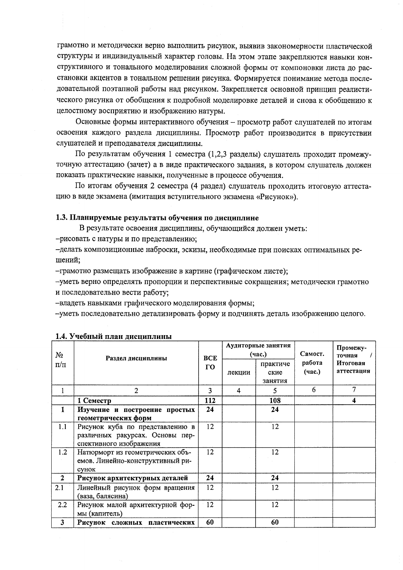грамотно и методически верно выполнить рисунок, выявив закономерности пластической структуры и индивидуальный характер головы. На этом этапе закрепляются навыки конструктивного и тонального моделирования сложной формы от компоновки листа до расстановки акцентов в тональном решении рисунка. Формируется понимание метода последовательной поэтапной работы над рисунком. Закрепляется основной принцип реалистического рисунка от обобщения к подробной моделировке деталей и снова к обобщению к целостному восприятию и изображению натуры.

Основные формы интерактивного обучения - просмотр работ слушателей по итогам освоения каждого раздела дисциплины. Просмотр работ производится в присутствии слушателей и преподавателя дисциплины.

По результатам обучения 1 семестра (1,2,3 разделы) слушатель проходит промежуточную аттестацию (зачет) а в виде практического задания, в котором слушатель должен показать практические навыки, полученные в процессе обучения.

По итогам обучения 2 семестра (4 раздел) слушатель проходить итоговую аттестацию в виде экзамена (имитация вступительного экзамена «Рисунок»).

### 1.3. Планируемые результаты обучения по дисциплине

В результате освоения дисциплины, обучающийся должен уметь:

-рисовать с натуры и по представлению;

-делать композиционные наброски, эскизы, необходимые при поисках оптимальных решений;

-грамотно размещать изображение в картине (графическом листе);

-уметь верно определять пропорции и перспективные сокращения; методически грамотно и последовательно вести работу;

-владеть навыками графического моделирования формы;

-уметь последовательно детализировать форму и подчинять деталь изображению целого.

| No                      | Раздел дисциплины                                                                             | <b>BCE</b><br>$\Gamma$ O |        | Аудиторные занятия<br>(час.) | Самост.<br>работа<br>(час.) | Промежу-<br>точная     |  |
|-------------------------|-----------------------------------------------------------------------------------------------|--------------------------|--------|------------------------------|-----------------------------|------------------------|--|
| $\Pi/\Pi$               |                                                                                               |                          | лекции | практиче<br>ские<br>занятия  |                             | Итоговая<br>аттестация |  |
|                         | $\overline{2}$                                                                                | 3                        | 4      | 5                            | 6                           | 7                      |  |
|                         | 1 Семестр                                                                                     | 112                      |        | 108                          |                             | 4                      |  |
| 1                       | Изучение и построение простых<br>геометрических форм                                          | 24                       |        | 24                           |                             |                        |  |
| 1.1                     | Рисунок куба по представлению в<br>различных ракурсах. Основы пер-<br>спективного изображения | 12                       |        | 12                           |                             |                        |  |
| 1.2                     | Натюрморт из геометрических объ-<br>емов. Линейно-конструктивный ри-<br>сунок                 | 12                       |        | 12                           |                             |                        |  |
| $\mathbf{2}$            | Рисунок архитектурных деталей                                                                 | 24                       |        | 24                           |                             |                        |  |
| 2.1                     | Линейный рисунок форм вращения<br>(ваза, балясина)                                            | 12                       |        | 12                           |                             |                        |  |
| 2.2                     | Рисунок малой архитектурной фор-<br>мы (капитель)                                             | 12                       |        | 12                           |                             |                        |  |
| $\overline{\mathbf{3}}$ | Рисунок сложных пластических                                                                  | 60                       |        | 60                           |                             |                        |  |

#### 1.4. Учебный план лиспиплины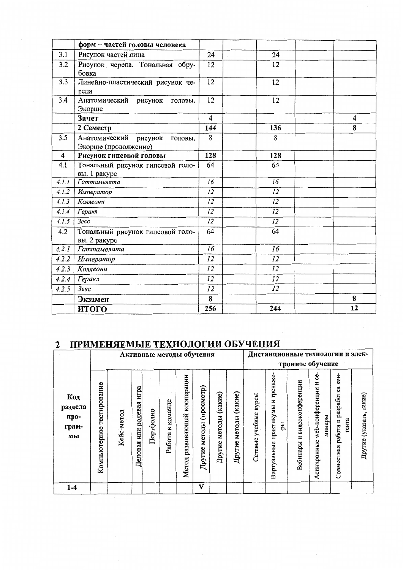|       | форм - частей головы человека                               |                         |                 |    |
|-------|-------------------------------------------------------------|-------------------------|-----------------|----|
| 3.1   | Рисунок частей лица                                         | 24                      | 24              |    |
| 3.2   | Рисунок черепа. Тональная обру-<br>бовка                    | 12                      | 12              |    |
| 3.3   | Линейно-пластический рисунок че-<br>репа                    | $\overline{12}$         | 12              |    |
| 3.4   | Анатомический<br>рисунок<br>головы.<br>Экорше               | 12                      | 12              |    |
|       | Зачет                                                       | $\overline{\mathbf{4}}$ |                 | 4  |
|       | 2 Семестр                                                   | 144                     | 136             | 8  |
| 3.5   | Анатомический<br>рисунок<br>головы.<br>Экорше (продолжение) | 8                       | 8               |    |
| 4     | Рисунок гипсовой головы                                     | 128                     | 128             |    |
| 4.1   | Тональный рисунок гипсовой голо-<br>вы. 1 ракурс            | 64                      | 64              |    |
| 4.1.1 | Гаттамелата                                                 | 16                      | 16              |    |
| 4.1.2 | Император                                                   | 12                      | 12              |    |
| 4.1.3 | Коллеони                                                    | 12                      | 12              |    |
| 4.1.4 | Геракл                                                      | $\overline{12}$         | $\overline{12}$ |    |
| 4.1.5 | Зевс                                                        | 12                      | $\overline{12}$ |    |
| 4.2   | Тональный рисунок гипсовой голо-<br>вы. 2 ракурс            | 64                      | 64              |    |
| 4.2.1 | Гаттамелата                                                 | 16                      | 16              |    |
| 4.2.2 | Император                                                   | 12                      | 12              |    |
| 4.2.3 | Коллеони                                                    | 12                      | 12              |    |
| 4.2.4 | Геракл                                                      | 12                      | 12              |    |
| 4.2.5 | Зевс                                                        | 12                      | 12              |    |
|       | Экзамен                                                     | 8                       |                 | 8  |
|       | итого                                                       | 256                     | 244             | 12 |

# 2 ПРИМЕНЯЕМЫЕ ТЕХНОЛОГИИ ОБУЧЕНИЯ

|                                       | Активные методы обучения     |            |                             |           |                                   |                                    |                                      |                             |                             | Дистанционные технологии и элек- |                                              |                                   |                                                      |                                              |                         |
|---------------------------------------|------------------------------|------------|-----------------------------|-----------|-----------------------------------|------------------------------------|--------------------------------------|-----------------------------|-----------------------------|----------------------------------|----------------------------------------------|-----------------------------------|------------------------------------------------------|----------------------------------------------|-------------------------|
|                                       |                              |            |                             |           |                                   |                                    |                                      |                             |                             | тронное обучение                 |                                              |                                   |                                                      |                                              |                         |
| Код<br>раздела<br>npo-<br>грам-<br>мы | тестирование<br>Компьютерное | Кейс-метод | игра<br>Деловая или ролевая | Портфолио | команде<br>$\mathbf{a}$<br>Работа | кооперации<br>развивающей<br>Meron | $($ просмотр $)$<br>методы<br>Другие | (какие)<br>методы<br>Другие | (какие)<br>методы<br>Другие | курсы<br>учебные<br>Сетевые      | тренаже<br>практикумы и<br>ры<br>Виртуальные | видеоконференции<br>z<br>Вебинары | ပ္ပ<br>Z<br>web-конференции<br>минары<br>Асинхронные | Совместная работа и разработка кон-<br>гента | Другие (указать, какие) |
| 1-4                                   |                              |            |                             |           |                                   |                                    | V                                    |                             |                             |                                  |                                              |                                   |                                                      |                                              |                         |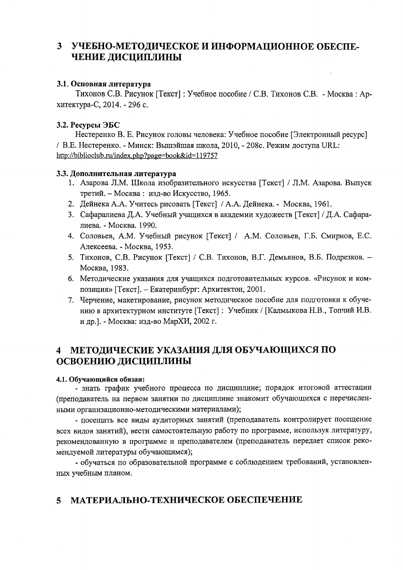#### УЧЕБНО-МЕТОДИЧЕСКОЕ И ИНФОРМАЦИОННОЕ ОБЕСПЕ- $3<sup>1</sup>$ ЧЕНИЕ ДИСЦИПЛИНЫ

#### 3.1. Основная литература

Тихонов С.В. Рисунок [Текст]: Учебное пособие / С.В. Тихонов С.В. - Москва: Архитектура-С, 2014. - 296 с.

### 3.2. Ресурсы ЭБС

Нестеренко В. Е. Рисунок головы человека: Учебное пособие [Электронный ресурс] / В.Е. Нестеренко. - Минск: Вышэйшая школа, 2010, - 208с. Режим доступа URL: http://biblioclub.ru/index.php?page=book&id=119757

#### 3.3. Дополнительная литература

- 1. Азарова Л.М. Школа изобразительного искусства [Текст] / Л.М. Азарова. Выпуск третий. - Москва: изд-во Искусство, 1965.
- 2. Дейнека А.А. Учитесь рисовать [Текст] / А.А. Дейнека. Москва, 1961.
- 3. Сафаралиева Д.А. Учебный учащихся в академии художеств [Текст] / Д.А. Сафаралиева. - Москва. 1990.
- 4. Соловьев, А.М. Учебный рисунок [Текст] / А.М. Соловьев, Г.Б. Смирнов, Е.С. Алексеева. - Москва, 1953.
- 5. Тихонов, С.В. Рисунок [Текст] / С.В. Тихонов, В.Г. Демьянов, В.Б. Подрезков. -Москва, 1983.
- 6. Методические указания для учащихся подготовительных курсов. «Рисунок и композиция» [Текст]. - Екатеринбург: Архитектон, 2001.
- 7. Черчение, макетирование, рисунок методическое пособие для подготовки к обучению в архитектурном институте [Текст]: Учебник / [Калмыкова Н.В., Топчий И.В. и др.). - Москва: изд-во МарХИ, 2002 г.

## 4 МЕТОДИЧЕСКИЕ УКАЗАНИЯ ДЛЯ ОБУЧАЮЩИХСЯ ПО ОСВОЕНИЮ ДИСЦИПЛИНЫ

#### 4.1. Обучающийся обязан:

- знать график учебного процесса по дисциплине; порядок итоговой аттестации (преподаватель на первом занятии по дисциплине знакомит обучающихся с перечисленными организационно-методическими материалами);

- посещать все виды аудиторных занятий (преподаватель контролирует посещение всех видов занятий), вести самостоятельную работу по программе, используя литературу, рекомендованную в программе и преподавателем (преподаватель передает список рекомендуемой литературы обучающимся);

- обучаться по образовательной программе с соблюдением требований, установленных учебным планом.

#### МАТЕРИАЛЬНО-ТЕХНИЧЕСКОЕ ОБЕСПЕЧЕНИЕ  $\mathbf{z}$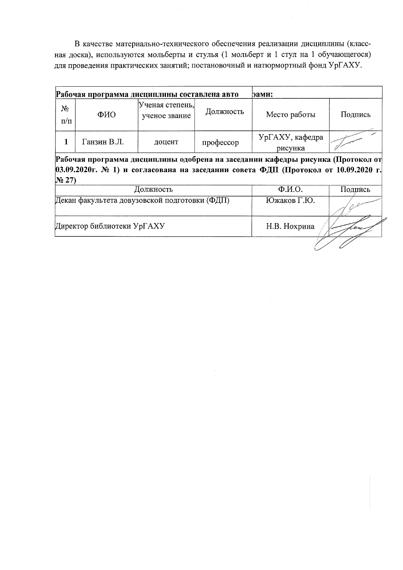В качестве материально-технического обеспечения реализации дисциплины (классная доска), используются мольберты и стулья (1 мольберт и 1 стул на 1 обучающегося) для проведения практических занятий; постановочный и натюрмортный фонд УрГАХУ.

|                                                                                                                                                                                          | Рабочая программа дисциплины составлена авто  |                                  | эами:                           |                            |         |  |  |  |  |
|------------------------------------------------------------------------------------------------------------------------------------------------------------------------------------------|-----------------------------------------------|----------------------------------|---------------------------------|----------------------------|---------|--|--|--|--|
| $N_2$<br>$\Pi/\Pi$                                                                                                                                                                       | ФИО                                           | Ученая степень,<br>ученое звание | Должность                       | Место работы               | Подпись |  |  |  |  |
|                                                                                                                                                                                          | Ганзин В.Л.                                   | доцент                           | профессор                       | УрГАХУ, кафедра<br>рисунка |         |  |  |  |  |
| Рабочая программа дисциплины одобрена на заседании кафедры рисунка (Протокол от<br>03.09.2020г. № 1) и согласована на заседании совета ФДП (Протокол от 10.09.2020 г.<br>N <sub>27</sub> |                                               |                                  |                                 |                            |         |  |  |  |  |
|                                                                                                                                                                                          |                                               | Должность                        | $\Phi$ . <i>M.O.</i><br>Подпись |                            |         |  |  |  |  |
|                                                                                                                                                                                          | Декан факультета довузовской подготовки (ФДП) |                                  | Южаков Г.Ю.                     |                            |         |  |  |  |  |

Директор библиотеки УрГАХУ

Н.В. Нохрина